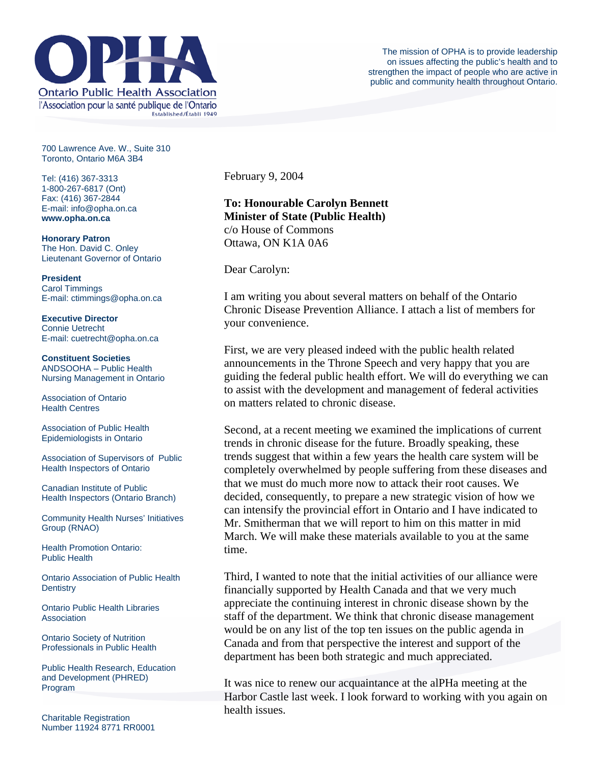

700 Lawrence Ave. W., Suite 310 Toronto, Ontario M6A 3B4

Tel: (416) 367-3313 1-800-267-6817 (Ont) Fax: (416) 367-2844 E-mail: info@opha.on.ca **www.opha.on.ca** 

**Honorary Patron**  The Hon. David C. Onley Lieutenant Governor of Ontario

**President**  Carol Timmings E-mail: ctimmings@opha.on.ca

**Executive Director**  Connie Uetrecht E-mail: cuetrecht@opha.on.ca

**Constituent Societies**  ANDSOOHA – Public Health Nursing Management in Ontario

Association of Ontario Health Centres

Association of Public Health Epidemiologists in Ontario

Association of Supervisors of Public Health Inspectors of Ontario

Canadian Institute of Public Health Inspectors (Ontario Branch)

Community Health Nurses' Initiatives Group (RNAO)

Health Promotion Ontario: Public Health

Ontario Association of Public Health **Dentistry** 

Ontario Public Health Libraries **Association** 

Ontario Society of Nutrition Professionals in Public Health

Public Health Research, Education and Development (PHRED) Program

Charitable Registration Number 11924 8771 RR0001 February 9, 2004

## **To: Honourable Carolyn Bennett Minister of State (Public Health)** c/o House of Commons Ottawa, ON K1A 0A6

Dear Carolyn:

I am writing you about several matters on behalf of the Ontario Chronic Disease Prevention Alliance. I attach a list of members for your convenience.

First, we are very pleased indeed with the public health related announcements in the Throne Speech and very happy that you are guiding the federal public health effort. We will do everything we can to assist with the development and management of federal activities on matters related to chronic disease.

Second, at a recent meeting we examined the implications of current trends in chronic disease for the future. Broadly speaking, these trends suggest that within a few years the health care system will be completely overwhelmed by people suffering from these diseases and that we must do much more now to attack their root causes. We decided, consequently, to prepare a new strategic vision of how we can intensify the provincial effort in Ontario and I have indicated to Mr. Smitherman that we will report to him on this matter in mid March. We will make these materials available to you at the same time.

Third, I wanted to note that the initial activities of our alliance were financially supported by Health Canada and that we very much appreciate the continuing interest in chronic disease shown by the staff of the department. We think that chronic disease management would be on any list of the top ten issues on the public agenda in Canada and from that perspective the interest and support of the department has been both strategic and much appreciated.

It was nice to renew our acquaintance at the alPHa meeting at the Harbor Castle last week. I look forward to working with you again on health issues.